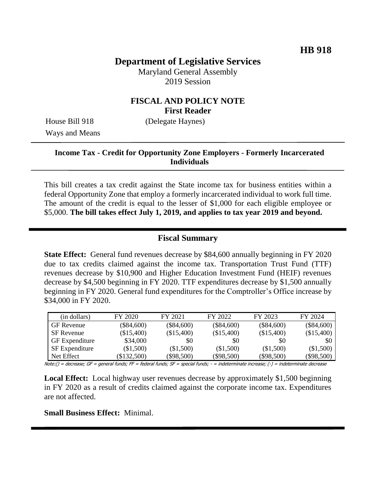# **Department of Legislative Services**

Maryland General Assembly 2019 Session

### **FISCAL AND POLICY NOTE First Reader**

Ways and Means

House Bill 918 (Delegate Haynes)

#### **Income Tax - Credit for Opportunity Zone Employers - Formerly Incarcerated Individuals**

This bill creates a tax credit against the State income tax for business entities within a federal Opportunity Zone that employ a formerly incarcerated individual to work full time. The amount of the credit is equal to the lesser of \$1,000 for each eligible employee or \$5,000. **The bill takes effect July 1, 2019, and applies to tax year 2019 and beyond.**

#### **Fiscal Summary**

**State Effect:** General fund revenues decrease by \$84,600 annually beginning in FY 2020 due to tax credits claimed against the income tax. Transportation Trust Fund (TTF) revenues decrease by \$10,900 and Higher Education Investment Fund (HEIF) revenues decrease by \$4,500 beginning in FY 2020. TTF expenditures decrease by \$1,500 annually beginning in FY 2020. General fund expenditures for the Comptroller's Office increase by \$34,000 in FY 2020.

| (in dollars)          | FY 2020      | FY 2021      | FY 2022      | FY 2023      | FY 2024      |
|-----------------------|--------------|--------------|--------------|--------------|--------------|
| <b>GF</b> Revenue     | $(\$84,600)$ | $(\$84,600)$ | $(\$84,600)$ | $(\$84,600)$ | $(\$84,600)$ |
| SF Revenue            | (\$15,400)   | (\$15,400)   | (\$15,400)   | (\$15,400)   | (\$15,400)   |
| <b>GF</b> Expenditure | \$34,000     | \$0          | \$0          | \$0          | \$0          |
| <b>SF</b> Expenditure | $(\$1,500)$  | $(\$1,500)$  | (\$1,500)    | (\$1,500)    | (\$1,500)    |
| Net Effect            | \$132,500    | $(\$98,500)$ | $(\$98,500)$ | $(\$98,500)$ | $(\$98,500)$ |

Note:() = decrease; GF = general funds; FF = federal funds; SF = special funds; - = indeterminate increase; (-) = indeterminate decrease

**Local Effect:** Local highway user revenues decrease by approximately \$1,500 beginning in FY 2020 as a result of credits claimed against the corporate income tax. Expenditures are not affected.

**Small Business Effect:** Minimal.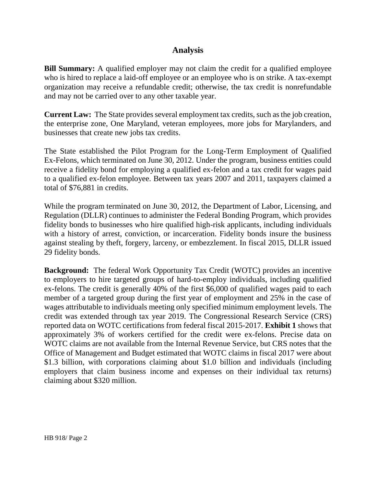## **Analysis**

**Bill Summary:** A qualified employer may not claim the credit for a qualified employee who is hired to replace a laid-off employee or an employee who is on strike. A tax-exempt organization may receive a refundable credit; otherwise, the tax credit is nonrefundable and may not be carried over to any other taxable year.

**Current Law:** The State provides several employment tax credits, such as the job creation, the enterprise zone, One Maryland, veteran employees, more jobs for Marylanders, and businesses that create new jobs tax credits.

The State established the Pilot Program for the Long-Term Employment of Qualified Ex-Felons, which terminated on June 30, 2012. Under the program, business entities could receive a fidelity bond for employing a qualified ex-felon and a tax credit for wages paid to a qualified ex-felon employee. Between tax years 2007 and 2011, taxpayers claimed a total of \$76,881 in credits.

While the program terminated on June 30, 2012, the Department of Labor, Licensing, and Regulation (DLLR) continues to administer the Federal Bonding Program, which provides fidelity bonds to businesses who hire qualified high-risk applicants, including individuals with a history of arrest, conviction, or incarceration. Fidelity bonds insure the business against stealing by theft, forgery, larceny, or embezzlement. In fiscal 2015, DLLR issued 29 fidelity bonds.

**Background:** The federal Work Opportunity Tax Credit (WOTC) provides an incentive to employers to hire targeted groups of hard-to-employ individuals, including qualified ex-felons. The credit is generally 40% of the first \$6,000 of qualified wages paid to each member of a targeted group during the first year of employment and 25% in the case of wages attributable to individuals meeting only specified minimum employment levels. The credit was extended through tax year 2019. The Congressional Research Service (CRS) reported data on WOTC certifications from federal fiscal 2015-2017. **Exhibit 1** shows that approximately 3% of workers certified for the credit were ex-felons. Precise data on WOTC claims are not available from the Internal Revenue Service, but CRS notes that the Office of Management and Budget estimated that WOTC claims in fiscal 2017 were about \$1.3 billion, with corporations claiming about \$1.0 billion and individuals (including employers that claim business income and expenses on their individual tax returns) claiming about \$320 million.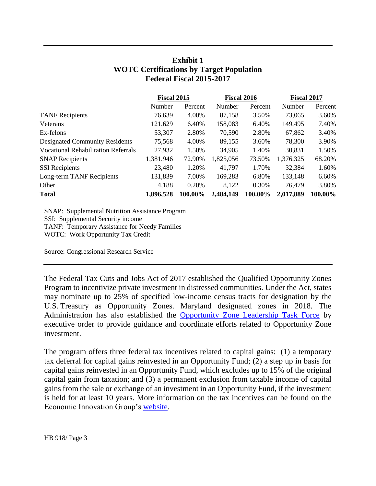## **Exhibit 1 WOTC Certifications by Target Population Federal Fiscal 2015-2017**

|                                            | <b>Fiscal 2015</b> |         | <b>Fiscal 2016</b> |          | <b>Fiscal 2017</b> |         |
|--------------------------------------------|--------------------|---------|--------------------|----------|--------------------|---------|
|                                            | Number             | Percent | Number             | Percent  | Number             | Percent |
| <b>TANF</b> Recipients                     | 76,639             | 4.00%   | 87,158             | 3.50%    | 73,065             | 3.60%   |
| Veterans                                   | 121,629            | 6.40%   | 158,083            | 6.40%    | 149,495            | 7.40%   |
| Ex-felons                                  | 53,307             | 2.80%   | 70,590             | 2.80%    | 67,862             | 3.40%   |
| <b>Designated Community Residents</b>      | 75,568             | 4.00%   | 89,155             | 3.60%    | 78,300             | 3.90%   |
| <b>Vocational Rehabilitation Referrals</b> | 27,932             | 1.50%   | 34,905             | 1.40%    | 30,831             | 1.50%   |
| <b>SNAP Recipients</b>                     | 1,381,946          | 72.90%  | 1,825,056          | 73.50%   | 1,376,325          | 68.20%  |
| <b>SSI</b> Recipients                      | 23,480             | 1.20%   | 41,797             | 1.70%    | 32,384             | 1.60%   |
| Long-term TANF Recipients                  | 131,839            | 7.00%   | 169,283            | 6.80%    | 133,148            | 6.60%   |
| Other                                      | 4,188              | 0.20%   | 8,122              | $0.30\%$ | 76,479             | 3.80%   |
| <b>Total</b>                               | 1,896,528          | 100.00% | 2,484,149          | 100.00%  | 2,017,889          | 100.00% |

SNAP: Supplemental Nutrition Assistance Program SSI: Supplemental Security income TANF: Temporary Assistance for Needy Families WOTC: Work Opportunity Tax Credit

Source: Congressional Research Service

The Federal Tax Cuts and Jobs Act of 2017 established the Qualified Opportunity Zones Program to incentivize private investment in distressed communities. Under the Act, states may nominate up to 25% of specified low-income census tracts for designation by the U.S. Treasury as Opportunity Zones. Maryland designated zones in 2018. The Administration has also established the [Opportunity Zone Leadership Task Force](https://governor.maryland.gov/wp-content/uploads/2019/01/Executive-Order.pdf) by executive order to provide guidance and coordinate efforts related to Opportunity Zone investment.

The program offers three federal tax incentives related to capital gains: (1) a temporary tax deferral for capital gains reinvested in an Opportunity Fund; (2) a step up in basis for capital gains reinvested in an Opportunity Fund, which excludes up to 15% of the original capital gain from taxation; and (3) a permanent exclusion from taxable income of capital gains from the sale or exchange of an investment in an Opportunity Fund, if the investment is held for at least 10 years. More information on the tax incentives can be found on the Economic Innovation Group's [website.](http://eig.org/wp-content/uploads/2018/02/Opportunity-Zones-Fact-Sheet.pdf)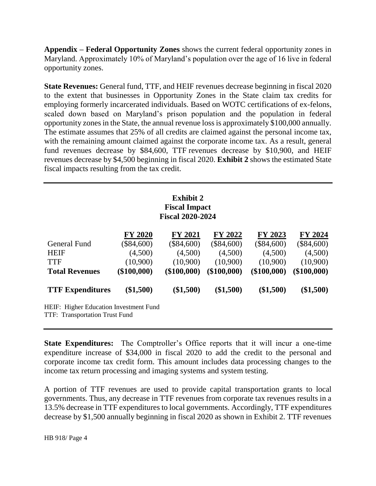**Appendix – Federal Opportunity Zones** shows the current federal opportunity zones in Maryland. Approximately 10% of Maryland's population over the age of 16 live in federal opportunity zones.

**State Revenues:** General fund, TTF, and HEIF revenues decrease beginning in fiscal 2020 to the extent that businesses in Opportunity Zones in the State claim tax credits for employing formerly incarcerated individuals. Based on WOTC certifications of ex-felons, scaled down based on Maryland's prison population and the population in federal opportunity zones in the State, the annual revenue loss is approximately \$100,000 annually. The estimate assumes that 25% of all credits are claimed against the personal income tax, with the remaining amount claimed against the corporate income tax. As a result, general fund revenues decrease by \$84,600, TTF revenues decrease by \$10,900, and HEIF revenues decrease by \$4,500 beginning in fiscal 2020. **Exhibit 2** shows the estimated State fiscal impacts resulting from the tax credit.

#### **Exhibit 2 Fiscal Impact Fiscal 2020-2024**

|                                                                                        | <b>FY 2020</b> | <b>FY 2021</b> | FY 2022      | FY 2023      | FY 2024      |
|----------------------------------------------------------------------------------------|----------------|----------------|--------------|--------------|--------------|
|                                                                                        |                |                |              |              |              |
| General Fund                                                                           | $(\$84,600)$   | $(\$84,600)$   | $(\$84,600)$ | $(\$84,600)$ | $(\$84,600)$ |
| <b>HEIF</b>                                                                            | (4,500)        | (4,500)        | (4,500)      | (4,500)      | (4,500)      |
| <b>TTF</b>                                                                             | (10,900)       | (10,900)       | (10,900)     | (10,900)     | (10,900)     |
| <b>Total Revenues</b>                                                                  | $(\$100,000)$  | (\$100,000)    | (\$100,000)  | (\$100,000)  | (\$100,000)  |
| <b>TTF Expenditures</b>                                                                | $(\$1,500)$    | $(\$1,500)$    | $(\$1,500)$  | $(\$1,500)$  | $(\$1,500)$  |
| <b>HEIF:</b> Higher Education Investment Fund<br><b>TTF: Transportation Trust Fund</b> |                |                |              |              |              |

**State Expenditures:** The Comptroller's Office reports that it will incur a one-time expenditure increase of \$34,000 in fiscal 2020 to add the credit to the personal and corporate income tax credit form. This amount includes data processing changes to the income tax return processing and imaging systems and system testing.

A portion of TTF revenues are used to provide capital transportation grants to local governments. Thus, any decrease in TTF revenues from corporate tax revenues results in a 13.5% decrease in TTF expenditures to local governments. Accordingly, TTF expenditures decrease by \$1,500 annually beginning in fiscal 2020 as shown in Exhibit 2. TTF revenues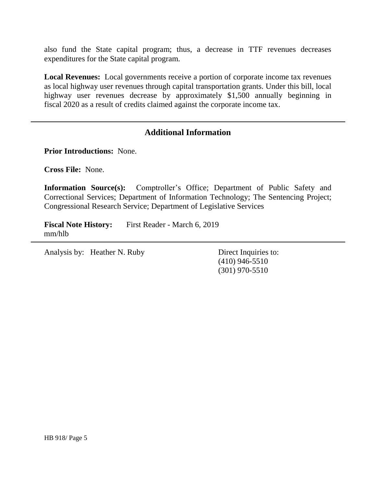also fund the State capital program; thus, a decrease in TTF revenues decreases expenditures for the State capital program.

**Local Revenues:** Local governments receive a portion of corporate income tax revenues as local highway user revenues through capital transportation grants. Under this bill, local highway user revenues decrease by approximately \$1,500 annually beginning in fiscal 2020 as a result of credits claimed against the corporate income tax.

### **Additional Information**

**Prior Introductions:** None.

**Cross File:** None.

**Information Source(s):** Comptroller's Office; Department of Public Safety and Correctional Services; Department of Information Technology; The Sentencing Project; Congressional Research Service; Department of Legislative Services

**Fiscal Note History:** First Reader - March 6, 2019 mm/hlb

Analysis by: Heather N. Ruby Direct Inquiries to:

(410) 946-5510 (301) 970-5510